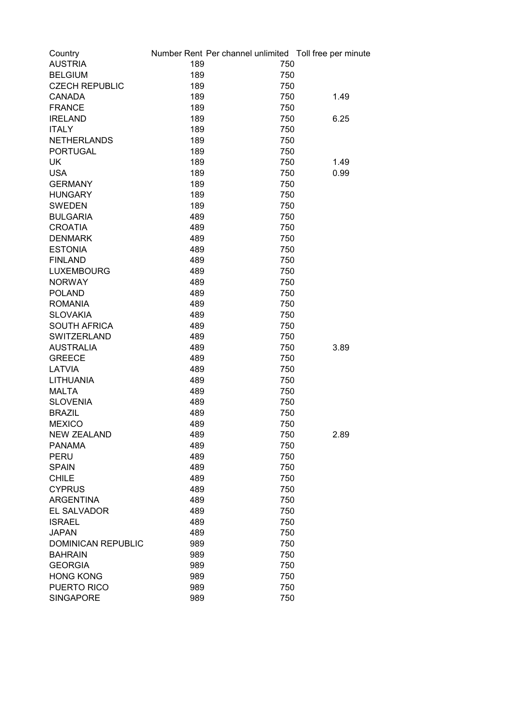| Country                   |     | Number Rent Per channel unlimited Toll free per minute |      |
|---------------------------|-----|--------------------------------------------------------|------|
| <b>AUSTRIA</b>            | 189 | 750                                                    |      |
| <b>BELGIUM</b>            | 189 | 750                                                    |      |
| <b>CZECH REPUBLIC</b>     | 189 | 750                                                    |      |
| <b>CANADA</b>             | 189 | 750                                                    | 1.49 |
| <b>FRANCE</b>             | 189 | 750                                                    |      |
| <b>IRELAND</b>            | 189 | 750                                                    | 6.25 |
| <b>ITALY</b>              | 189 | 750                                                    |      |
| <b>NETHERLANDS</b>        | 189 | 750                                                    |      |
| <b>PORTUGAL</b>           | 189 | 750                                                    |      |
| <b>UK</b>                 | 189 | 750                                                    | 1.49 |
| <b>USA</b>                | 189 | 750                                                    | 0.99 |
| <b>GERMANY</b>            | 189 | 750                                                    |      |
| <b>HUNGARY</b>            | 189 | 750                                                    |      |
| <b>SWEDEN</b>             | 189 | 750                                                    |      |
| <b>BULGARIA</b>           | 489 | 750                                                    |      |
| <b>CROATIA</b>            | 489 | 750                                                    |      |
| <b>DENMARK</b>            | 489 | 750                                                    |      |
| <b>ESTONIA</b>            | 489 | 750                                                    |      |
| <b>FINLAND</b>            | 489 | 750                                                    |      |
| <b>LUXEMBOURG</b>         | 489 | 750                                                    |      |
| <b>NORWAY</b>             | 489 | 750                                                    |      |
| <b>POLAND</b>             | 489 | 750                                                    |      |
| <b>ROMANIA</b>            | 489 | 750                                                    |      |
| <b>SLOVAKIA</b>           | 489 | 750                                                    |      |
| <b>SOUTH AFRICA</b>       | 489 | 750                                                    |      |
| SWITZERLAND               | 489 | 750                                                    |      |
| <b>AUSTRALIA</b>          | 489 | 750                                                    | 3.89 |
| <b>GREECE</b>             | 489 | 750                                                    |      |
| <b>LATVIA</b>             | 489 | 750                                                    |      |
| <b>LITHUANIA</b>          | 489 | 750                                                    |      |
| <b>MALTA</b>              | 489 | 750                                                    |      |
| <b>SLOVENIA</b>           | 489 | 750                                                    |      |
| <b>BRAZIL</b>             | 489 | 750                                                    |      |
| <b>MEXICO</b>             | 489 | 750                                                    |      |
| <b>NEW ZEALAND</b>        | 489 | 750                                                    | 2.89 |
| <b>PANAMA</b>             | 489 | 750                                                    |      |
| <b>PERU</b>               | 489 | 750                                                    |      |
| <b>SPAIN</b>              | 489 | 750                                                    |      |
| <b>CHILE</b>              | 489 | 750                                                    |      |
| <b>CYPRUS</b>             | 489 | 750                                                    |      |
| <b>ARGENTINA</b>          | 489 | 750                                                    |      |
| EL SALVADOR               | 489 | 750                                                    |      |
| <b>ISRAEL</b>             | 489 | 750                                                    |      |
| <b>JAPAN</b>              | 489 | 750                                                    |      |
| <b>DOMINICAN REPUBLIC</b> | 989 | 750                                                    |      |
| <b>BAHRAIN</b>            | 989 | 750                                                    |      |
| <b>GEORGIA</b>            | 989 | 750                                                    |      |
| <b>HONG KONG</b>          | 989 | 750                                                    |      |
| PUERTO RICO               | 989 | 750                                                    |      |
| <b>SINGAPORE</b>          | 989 | 750                                                    |      |